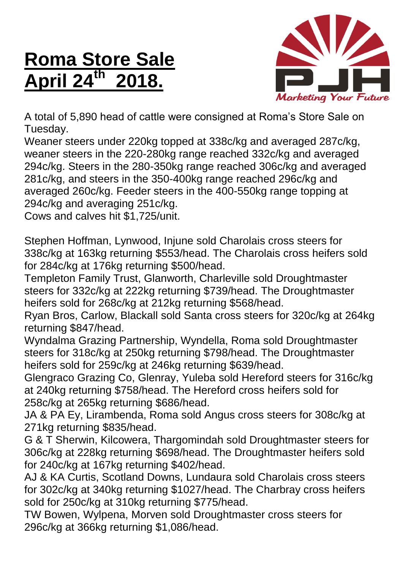## **Roma Store Sale April 24th 2018.**



A total of 5,890 head of cattle were consigned at Roma's Store Sale on Tuesday.

Weaner steers under 220kg topped at 338c/kg and averaged 287c/kg, weaner steers in the 220-280kg range reached 332c/kg and averaged 294c/kg. Steers in the 280-350kg range reached 306c/kg and averaged 281c/kg, and steers in the 350-400kg range reached 296c/kg and averaged 260c/kg. Feeder steers in the 400-550kg range topping at 294c/kg and averaging 251c/kg.

Cows and calves hit \$1,725/unit.

Stephen Hoffman, Lynwood, Injune sold Charolais cross steers for 338c/kg at 163kg returning \$553/head. The Charolais cross heifers sold for 284c/kg at 176kg returning \$500/head.

Templeton Family Trust, Glanworth, Charleville sold Droughtmaster steers for 332c/kg at 222kg returning \$739/head. The Droughtmaster heifers sold for 268c/kg at 212kg returning \$568/head.

Ryan Bros, Carlow, Blackall sold Santa cross steers for 320c/kg at 264kg returning \$847/head.

Wyndalma Grazing Partnership, Wyndella, Roma sold Droughtmaster steers for 318c/kg at 250kg returning \$798/head. The Droughtmaster heifers sold for 259c/kg at 246kg returning \$639/head.

Glengraco Grazing Co, Glenray, Yuleba sold Hereford steers for 316c/kg at 240kg returning \$758/head. The Hereford cross heifers sold for 258c/kg at 265kg returning \$686/head.

JA & PA Ey, Lirambenda, Roma sold Angus cross steers for 308c/kg at 271kg returning \$835/head.

G & T Sherwin, Kilcowera, Thargomindah sold Droughtmaster steers for 306c/kg at 228kg returning \$698/head. The Droughtmaster heifers sold for 240c/kg at 167kg returning \$402/head.

AJ & KA Curtis, Scotland Downs, Lundaura sold Charolais cross steers for 302c/kg at 340kg returning \$1027/head. The Charbray cross heifers sold for 250c/kg at 310kg returning \$775/head.

TW Bowen, Wylpena, Morven sold Droughtmaster cross steers for 296c/kg at 366kg returning \$1,086/head.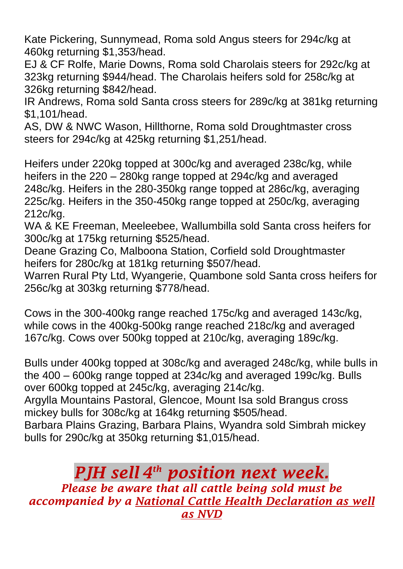Kate Pickering, Sunnymead, Roma sold Angus steers for 294c/kg at 460kg returning \$1,353/head.

EJ & CF Rolfe, Marie Downs, Roma sold Charolais steers for 292c/kg at 323kg returning \$944/head. The Charolais heifers sold for 258c/kg at 326kg returning \$842/head.

IR Andrews, Roma sold Santa cross steers for 289c/kg at 381kg returning \$1,101/head.

AS, DW & NWC Wason, Hillthorne, Roma sold Droughtmaster cross steers for 294c/kg at 425kg returning \$1,251/head.

Heifers under 220kg topped at 300c/kg and averaged 238c/kg, while heifers in the 220 – 280kg range topped at 294c/kg and averaged 248c/kg. Heifers in the 280-350kg range topped at 286c/kg, averaging 225c/kg. Heifers in the 350-450kg range topped at 250c/kg, averaging 212c/kg.

WA & KE Freeman, Meeleebee, Wallumbilla sold Santa cross heifers for 300c/kg at 175kg returning \$525/head.

Deane Grazing Co, Malboona Station, Corfield sold Droughtmaster heifers for 280c/kg at 181kg returning \$507/head.

Warren Rural Pty Ltd, Wyangerie, Quambone sold Santa cross heifers for 256c/kg at 303kg returning \$778/head.

Cows in the 300-400kg range reached 175c/kg and averaged 143c/kg, while cows in the 400kg-500kg range reached 218c/kg and averaged 167c/kg. Cows over 500kg topped at 210c/kg, averaging 189c/kg.

Bulls under 400kg topped at 308c/kg and averaged 248c/kg, while bulls in the 400 – 600kg range topped at 234c/kg and averaged 199c/kg. Bulls over 600kg topped at 245c/kg, averaging 214c/kg.

Argylla Mountains Pastoral, Glencoe, Mount Isa sold Brangus cross mickey bulls for 308c/kg at 164kg returning \$505/head.

Barbara Plains Grazing, Barbara Plains, Wyandra sold Simbrah mickey bulls for 290c/kg at 350kg returning \$1,015/head.

## *PJH sell 4 th position next week.*

*Please be aware that all cattle being sold must be accompanied by a National Cattle Health Declaration as well as NVD*